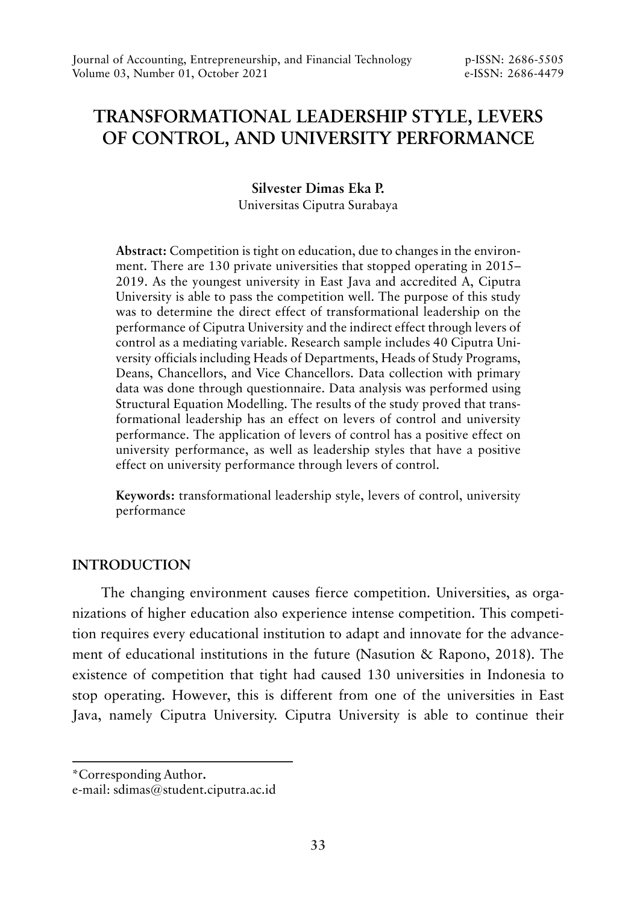# **TRANSFORMATIONAL LEADERSHIP STYLE, LEVERS OF CONTROL, AND UNIVERSITY PERFORMANCE**

**Silvester Dimas Eka P.** Universitas Ciputra Surabaya

**Abstract:** Competition is tight on education, due to changes in the environment. There are 130 private universities that stopped operating in 2015– 2019. As the youngest university in East Java and accredited A, Ciputra University is able to pass the competition well. The purpose of this study was to determine the direct effect of transformational leadership on the performance of Ciputra University and the indirect effect through levers of control as a mediating variable. Research sample includes 40 Ciputra University officials including Heads of Departments, Heads of Study Programs, Deans, Chancellors, and Vice Chancellors. Data collection with primary data was done through questionnaire. Data analysis was performed using Structural Equation Modelling. The results of the study proved that transformational leadership has an effect on levers of control and university performance. The application of levers of control has a positive effect on university performance, as well as leadership styles that have a positive effect on university performance through levers of control.

**Keywords:** transformational leadership style, levers of control, university performance

# **INTRODUCTION**

The changing environment causes fierce competition. Universities, as organizations of higher education also experience intense competition. This competition requires every educational institution to adapt and innovate for the advancement of educational institutions in the future (Nasution & Rapono, 2018). The existence of competition that tight had caused 130 universities in Indonesia to stop operating. However, this is different from one of the universities in East Java, namely Ciputra University. Ciputra University is able to continue their

<sup>\*</sup>Corresponding Author**.**

e-mail: sdimas@student.ciputra.ac.id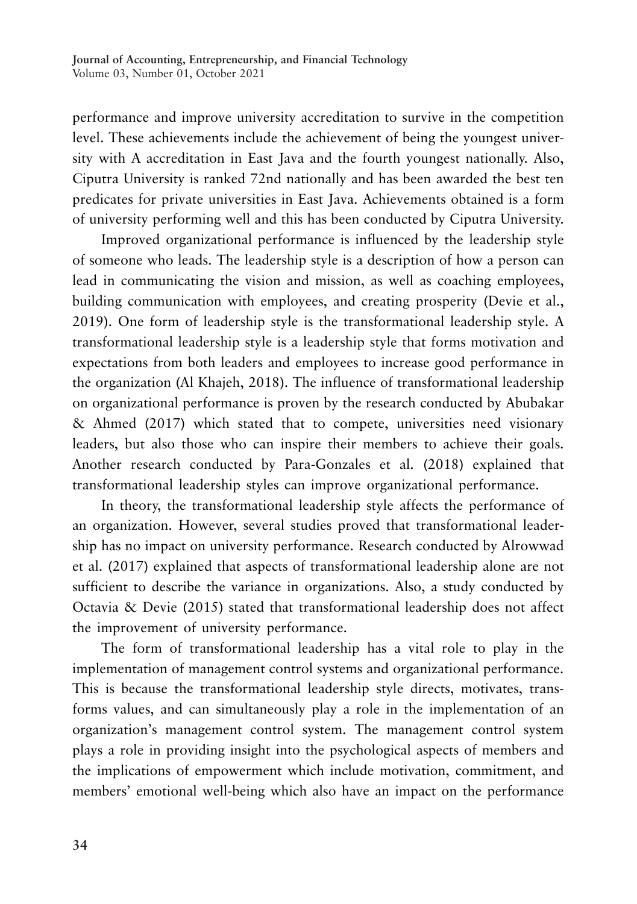performance and improve university accreditation to survive in the competition level. These achievements include the achievement of being the youngest university with A accreditation in East Java and the fourth youngest nationally. Also, Ciputra University is ranked 72nd nationally and has been awarded the best ten predicates for private universities in East Java. Achievements obtained is a form of university performing well and this has been conducted by Ciputra University.

Improved organizational performance is influenced by the leadership style of someone who leads. The leadership style is a description of how a person can lead in communicating the vision and mission, as well as coaching employees, building communication with employees, and creating prosperity (Devie et al., 2019). One form of leadership style is the transformational leadership style. A transformational leadership style is a leadership style that forms motivation and expectations from both leaders and employees to increase good performance in the organization (Al Khajeh, 2018). The influence of transformational leadership on organizational performance is proven by the research conducted by Abubakar & Ahmed (2017) which stated that to compete, universities need visionary leaders, but also those who can inspire their members to achieve their goals. Another research conducted by Para-Gonzales et al. (2018) explained that transformational leadership styles can improve organizational performance.

In theory, the transformational leadership style affects the performance of an organization. However, several studies proved that transformational leadership has no impact on university performance. Research conducted by Alrowwad et al. (2017) explained that aspects of transformational leadership alone are not sufficient to describe the variance in organizations. Also, a study conducted by Octavia & Devie (2015) stated that transformational leadership does not affect the improvement of university performance.

The form of transformational leadership has a vital role to play in the implementation of management control systems and organizational performance. This is because the transformational leadership style directs, motivates, transforms values, and can simultaneously play a role in the implementation of an organization's management control system. The management control system plays a role in providing insight into the psychological aspects of members and the implications of empowerment which include motivation, commitment, and members' emotional well-being which also have an impact on the performance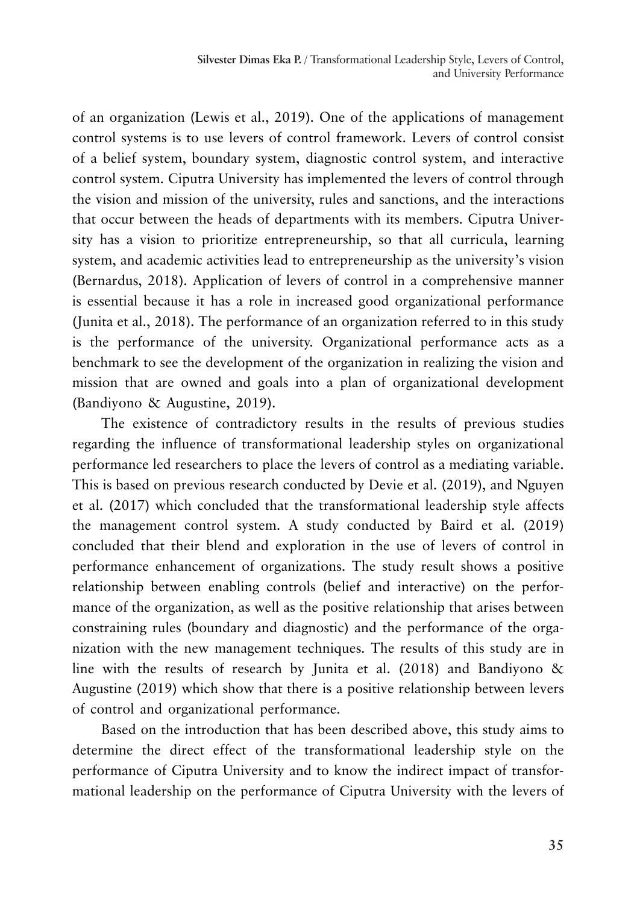of an organization (Lewis et al., 2019). One of the applications of management control systems is to use levers of control framework. Levers of control consist of a belief system, boundary system, diagnostic control system, and interactive control system. Ciputra University has implemented the levers of control through the vision and mission of the university, rules and sanctions, and the interactions that occur between the heads of departments with its members. Ciputra University has a vision to prioritize entrepreneurship, so that all curricula, learning system, and academic activities lead to entrepreneurship as the university's vision (Bernardus, 2018). Application of levers of control in a comprehensive manner is essential because it has a role in increased good organizational performance (Junita et al., 2018). The performance of an organization referred to in this study is the performance of the university. Organizational performance acts as a benchmark to see the development of the organization in realizing the vision and mission that are owned and goals into a plan of organizational development (Bandiyono & Augustine, 2019).

The existence of contradictory results in the results of previous studies regarding the influence of transformational leadership styles on organizational performance led researchers to place the levers of control as a mediating variable. This is based on previous research conducted by Devie et al. (2019), and Nguyen et al. (2017) which concluded that the transformational leadership style affects the management control system. A study conducted by Baird et al. (2019) concluded that their blend and exploration in the use of levers of control in performance enhancement of organizations. The study result shows a positive relationship between enabling controls (belief and interactive) on the performance of the organization, as well as the positive relationship that arises between constraining rules (boundary and diagnostic) and the performance of the organization with the new management techniques. The results of this study are in line with the results of research by Junita et al. (2018) and Bandiyono & Augustine (2019) which show that there is a positive relationship between levers of control and organizational performance.

Based on the introduction that has been described above, this study aims to determine the direct effect of the transformational leadership style on the performance of Ciputra University and to know the indirect impact of transformational leadership on the performance of Ciputra University with the levers of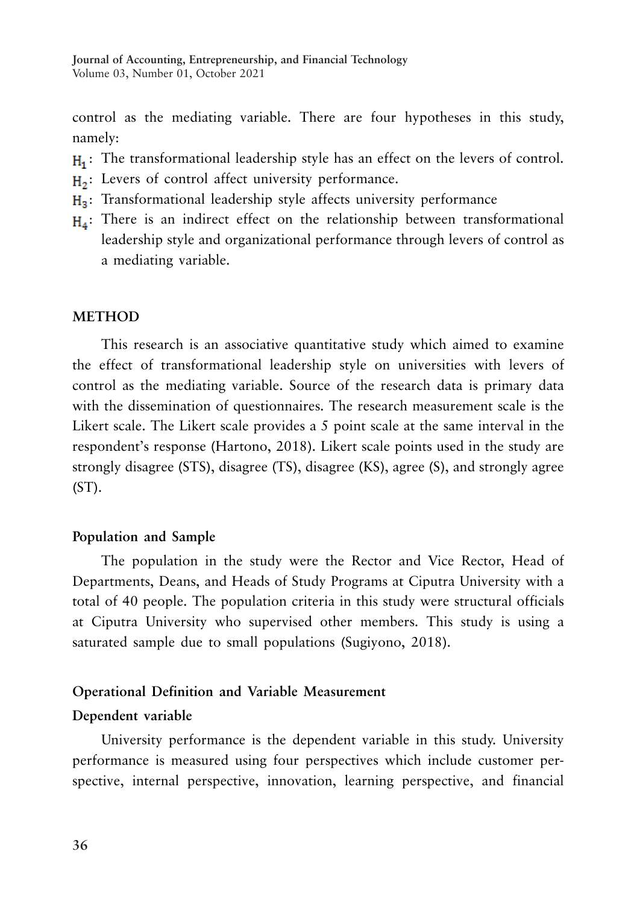control as the mediating variable. There are four hypotheses in this study, namely:

- H<sub>1</sub>: The transformational leadership style has an effect on the levers of control.
- $H_2$ : Levers of control affect university performance.
- H<sub>3</sub>: Transformational leadership style affects university performance
- H<sub>a</sub>: There is an indirect effect on the relationship between transformational leadership style and organizational performance through levers of control as a mediating variable.

#### **METHOD**

This research is an associative quantitative study which aimed to examine the effect of transformational leadership style on universities with levers of control as the mediating variable. Source of the research data is primary data with the dissemination of questionnaires. The research measurement scale is the Likert scale. The Likert scale provides a 5 point scale at the same interval in the respondent's response (Hartono, 2018). Likert scale points used in the study are strongly disagree (STS), disagree (TS), disagree (KS), agree (S), and strongly agree  $(ST)$ .

### **Population and Sample**

The population in the study were the Rector and Vice Rector, Head of Departments, Deans, and Heads of Study Programs at Ciputra University with a total of 40 people. The population criteria in this study were structural officials at Ciputra University who supervised other members. This study is using a saturated sample due to small populations (Sugiyono, 2018).

#### **Operational Definition and Variable Measurement**

#### **Dependent variable**

University performance is the dependent variable in this study. University performance is measured using four perspectives which include customer perspective, internal perspective, innovation, learning perspective, and financial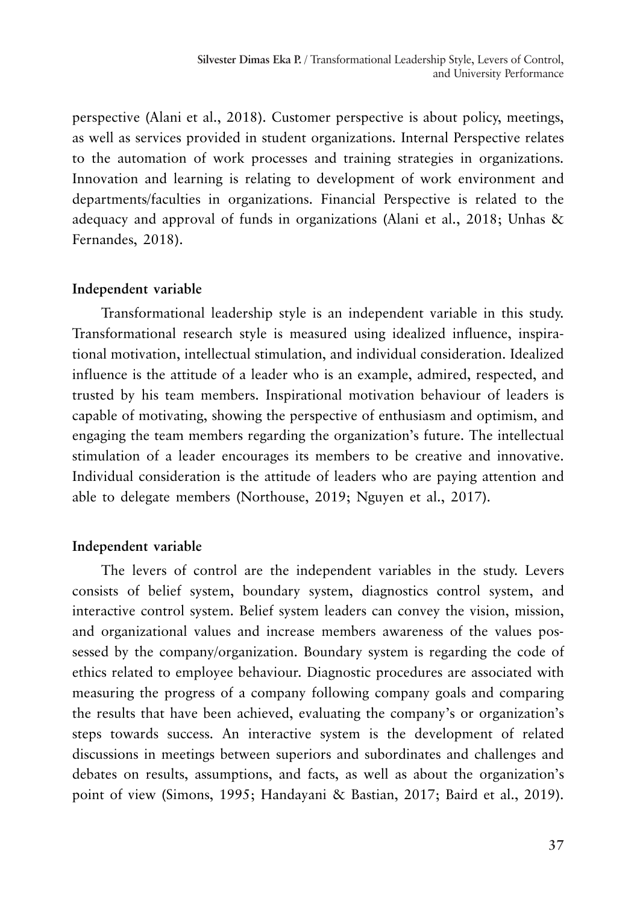perspective (Alani et al., 2018). Customer perspective is about policy, meetings, as well as services provided in student organizations. Internal Perspective relates to the automation of work processes and training strategies in organizations. Innovation and learning is relating to development of work environment and departments/faculties in organizations. Financial Perspective is related to the adequacy and approval of funds in organizations (Alani et al., 2018; Unhas & Fernandes, 2018).

## **Independent variable**

Transformational leadership style is an independent variable in this study. Transformational research style is measured using idealized influence, inspirational motivation, intellectual stimulation, and individual consideration. Idealized influence is the attitude of a leader who is an example, admired, respected, and trusted by his team members. Inspirational motivation behaviour of leaders is capable of motivating, showing the perspective of enthusiasm and optimism, and engaging the team members regarding the organization's future. The intellectual stimulation of a leader encourages its members to be creative and innovative. Individual consideration is the attitude of leaders who are paying attention and able to delegate members (Northouse, 2019; Nguyen et al., 2017).

# **Independent variable**

The levers of control are the independent variables in the study. Levers consists of belief system, boundary system, diagnostics control system, and interactive control system. Belief system leaders can convey the vision, mission, and organizational values and increase members awareness of the values possessed by the company/organization. Boundary system is regarding the code of ethics related to employee behaviour. Diagnostic procedures are associated with measuring the progress of a company following company goals and comparing the results that have been achieved, evaluating the company's or organization's steps towards success. An interactive system is the development of related discussions in meetings between superiors and subordinates and challenges and debates on results, assumptions, and facts, as well as about the organization's point of view (Simons, 1995; Handayani & Bastian, 2017; Baird et al., 2019).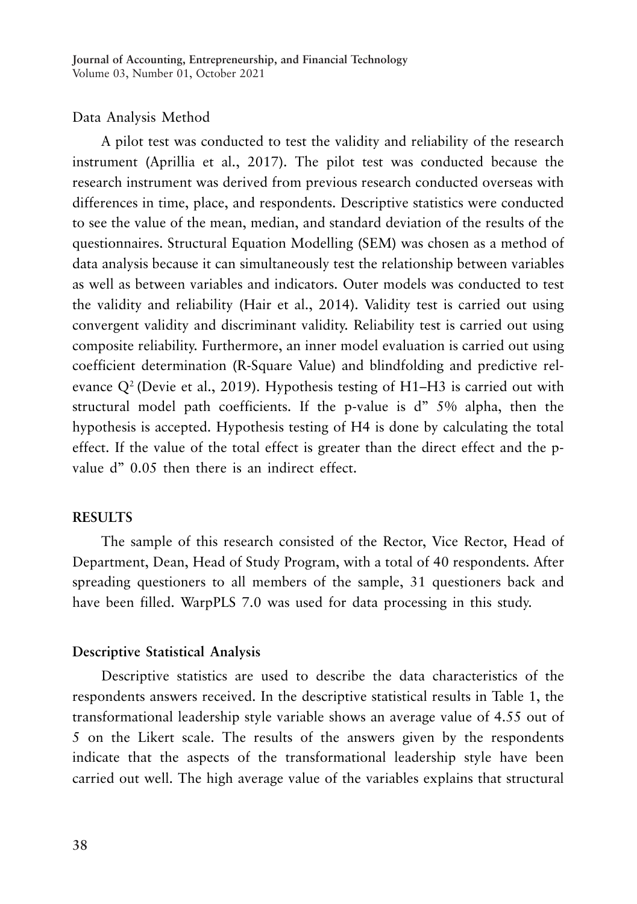### Data Analysis Method

A pilot test was conducted to test the validity and reliability of the research instrument (Aprillia et al., 2017). The pilot test was conducted because the research instrument was derived from previous research conducted overseas with differences in time, place, and respondents. Descriptive statistics were conducted to see the value of the mean, median, and standard deviation of the results of the questionnaires. Structural Equation Modelling (SEM) was chosen as a method of data analysis because it can simultaneously test the relationship between variables as well as between variables and indicators. Outer models was conducted to test the validity and reliability (Hair et al., 2014). Validity test is carried out using convergent validity and discriminant validity. Reliability test is carried out using composite reliability. Furthermore, an inner model evaluation is carried out using coefficient determination (R-Square Value) and blindfolding and predictive relevance  $Q^2$  (Devie et al., 2019). Hypothesis testing of H1–H3 is carried out with structural model path coefficients. If the p-value is d" 5% alpha, then the hypothesis is accepted. Hypothesis testing of H4 is done by calculating the total effect. If the value of the total effect is greater than the direct effect and the pvalue d" 0.05 then there is an indirect effect.

#### **RESULTS**

The sample of this research consisted of the Rector, Vice Rector, Head of Department, Dean, Head of Study Program, with a total of 40 respondents. After spreading questioners to all members of the sample, 31 questioners back and have been filled. WarpPLS 7.0 was used for data processing in this study.

#### **Descriptive Statistical Analysis**

Descriptive statistics are used to describe the data characteristics of the respondents answers received. In the descriptive statistical results in Table 1, the transformational leadership style variable shows an average value of 4.55 out of 5 on the Likert scale. The results of the answers given by the respondents indicate that the aspects of the transformational leadership style have been carried out well. The high average value of the variables explains that structural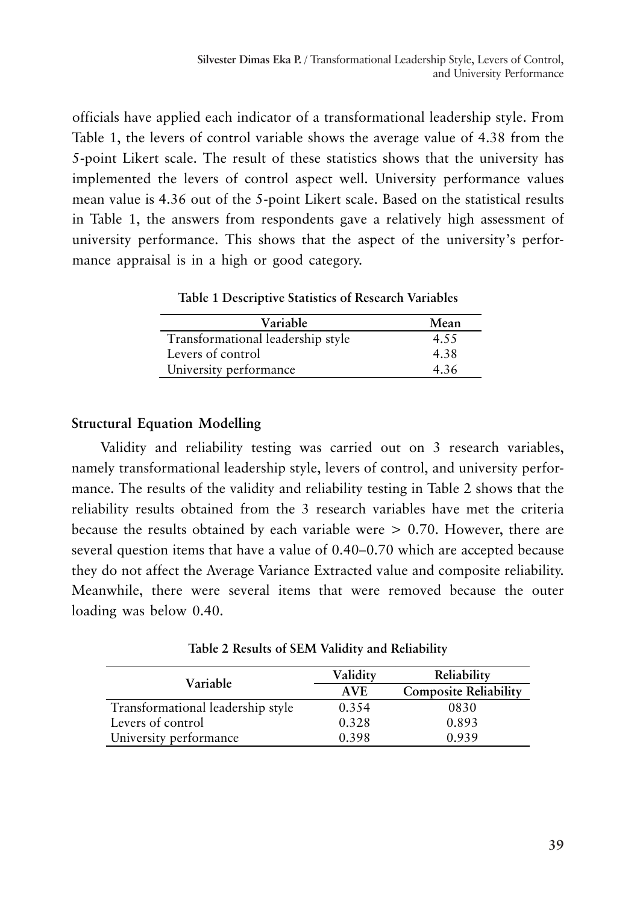officials have applied each indicator of a transformational leadership style. From Table 1, the levers of control variable shows the average value of 4.38 from the 5-point Likert scale. The result of these statistics shows that the university has implemented the levers of control aspect well. University performance values mean value is 4.36 out of the 5-point Likert scale. Based on the statistical results in Table 1, the answers from respondents gave a relatively high assessment of university performance. This shows that the aspect of the university's performance appraisal is in a high or good category.

**Table 1 Descriptive Statistics of Research Variables**

| Variable                          | Mean |
|-----------------------------------|------|
| Transformational leadership style | 4.55 |
| Levers of control                 | 4.38 |
| University performance            | 4.36 |

# **Structural Equation Modelling**

Validity and reliability testing was carried out on 3 research variables, namely transformational leadership style, levers of control, and university performance. The results of the validity and reliability testing in Table 2 shows that the reliability results obtained from the 3 research variables have met the criteria because the results obtained by each variable were > 0.70. However, there are several question items that have a value of 0.40–0.70 which are accepted because they do not affect the Average Variance Extracted value and composite reliability. Meanwhile, there were several items that were removed because the outer loading was below 0.40.

**Table 2 Results of SEM Validity and Reliability**

| Variable                          | Validitv   | Reliability                  |
|-----------------------------------|------------|------------------------------|
|                                   | <b>AVE</b> | <b>Composite Reliability</b> |
| Transformational leadership style | 0.354      | 0830                         |
| Levers of control                 | 0.328      | 0.893                        |
| University performance            | 0.398      | 0.939                        |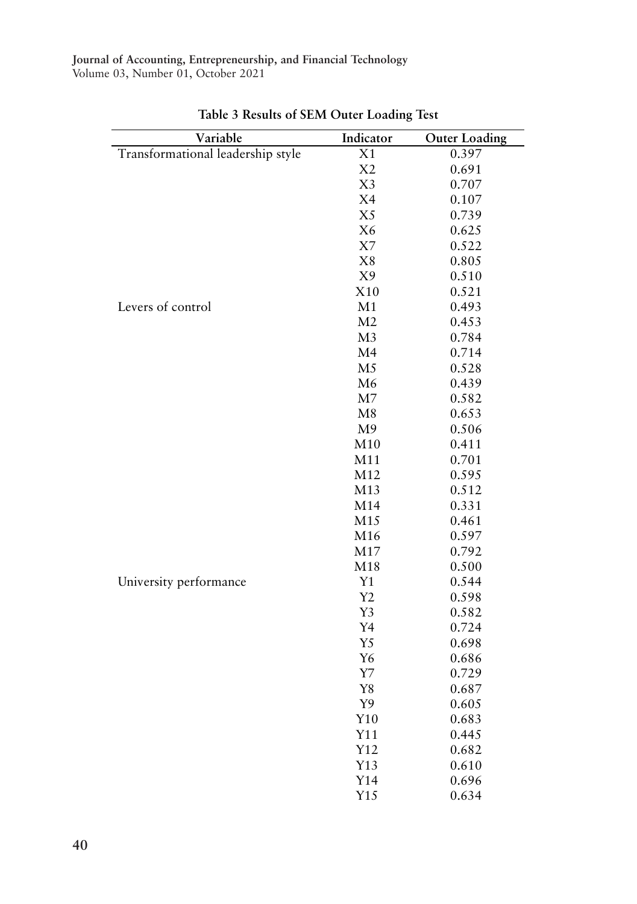| Variable                          | Indicator      | <b>Outer Loading</b> |
|-----------------------------------|----------------|----------------------|
| Transformational leadership style | X1             | 0.397                |
|                                   | X2             | 0.691                |
|                                   | X3             | 0.707                |
|                                   | X4             | 0.107                |
|                                   | X <sub>5</sub> | 0.739                |
|                                   | X <sub>6</sub> | 0.625                |
|                                   | X7             | 0.522                |
|                                   | X8             | 0.805                |
|                                   | X9             | 0.510                |
|                                   | X10            | 0.521                |
| Levers of control                 | M1             | 0.493                |
|                                   | M <sub>2</sub> | 0.453                |
|                                   | M <sub>3</sub> | 0.784                |
|                                   | M <sub>4</sub> | 0.714                |
|                                   | M <sub>5</sub> | 0.528                |
|                                   | M6             | 0.439                |
|                                   | M <sub>7</sub> | 0.582                |
|                                   | M <sub>8</sub> | 0.653                |
|                                   | M <sup>9</sup> | 0.506                |
|                                   | M10            | 0.411                |
|                                   | M11            | 0.701                |
|                                   | M12            | 0.595                |
|                                   | M13            | 0.512                |
|                                   | M14            | 0.331                |
|                                   | M15            | 0.461                |
|                                   | M16            | 0.597                |
|                                   | M17            | 0.792                |
|                                   | M18            | 0.500                |
| University performance            | Y1             | 0.544                |
|                                   | Y <sub>2</sub> | 0.598                |
|                                   | Y3             | 0.582                |
|                                   | Y <sub>4</sub> | 0.724                |
|                                   | Y <sub>5</sub> | 0.698                |
|                                   | Y <sub>6</sub> | 0.686                |
|                                   | $\rm Y7$       | 0.729                |
|                                   | Y8             | 0.687                |
|                                   | Y9             | 0.605                |
|                                   | Y10            | 0.683                |
|                                   | Y11            | 0.445                |
|                                   | Y12            | 0.682                |
|                                   | Y13            | 0.610                |
|                                   | Y14            | 0.696                |
|                                   | Y15            | 0.634                |

**Table 3 Results of SEM Outer Loading Test**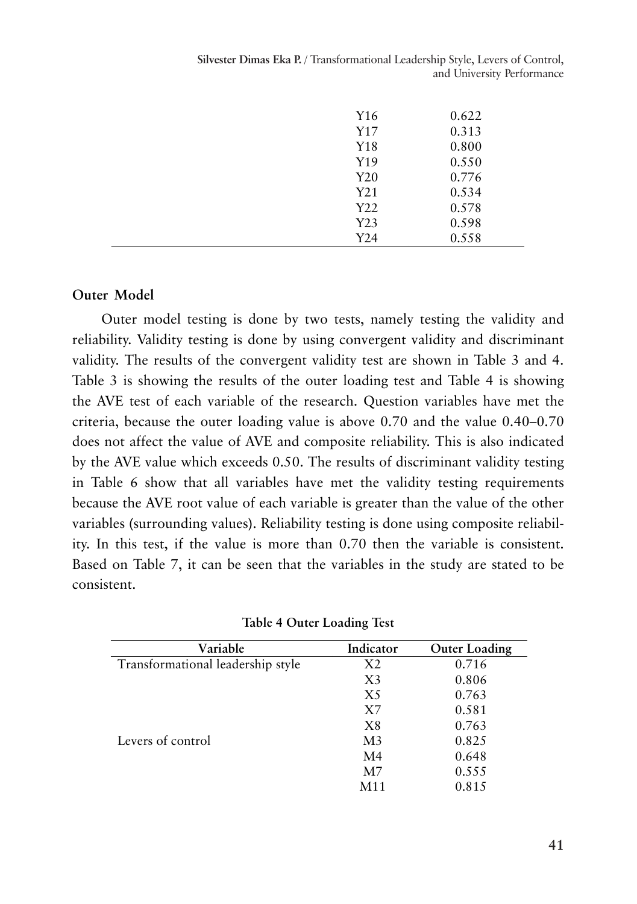**Silvester Dimas Eka P.** / Transformational Leadership Style, Levers of Control, and University Performance

| Y16             | 0.622 |
|-----------------|-------|
| Y17             | 0.313 |
| Y18             | 0.800 |
| Y19             | 0.550 |
| Y <sub>20</sub> | 0.776 |
| Y21             | 0.534 |
| Y22             | 0.578 |
| Y23             | 0.598 |
| Y24             | 0.558 |

### **Outer Model**

Outer model testing is done by two tests, namely testing the validity and reliability. Validity testing is done by using convergent validity and discriminant validity. The results of the convergent validity test are shown in Table 3 and 4. Table 3 is showing the results of the outer loading test and Table 4 is showing the AVE test of each variable of the research. Question variables have met the criteria, because the outer loading value is above 0.70 and the value 0.40–0.70 does not affect the value of AVE and composite reliability. This is also indicated by the AVE value which exceeds 0.50. The results of discriminant validity testing in Table 6 show that all variables have met the validity testing requirements because the AVE root value of each variable is greater than the value of the other variables (surrounding values). Reliability testing is done using composite reliability. In this test, if the value is more than 0.70 then the variable is consistent. Based on Table 7, it can be seen that the variables in the study are stated to be consistent.

| Variable                          | Indicator      | <b>Outer Loading</b> |
|-----------------------------------|----------------|----------------------|
| Transformational leadership style | X <sub>2</sub> | 0.716                |
|                                   | X <sub>3</sub> | 0.806                |
|                                   | X <sub>5</sub> | 0.763                |
|                                   | X7             | 0.581                |
|                                   | X8             | 0.763                |
| Levers of control                 | M <sub>3</sub> | 0.825                |
|                                   | M <sub>4</sub> | 0.648                |
|                                   | M <sub>7</sub> | 0.555                |
|                                   | M11            | 0.815                |

| <b>Table 4 Outer Loading Test</b> |  |  |  |  |
|-----------------------------------|--|--|--|--|
|-----------------------------------|--|--|--|--|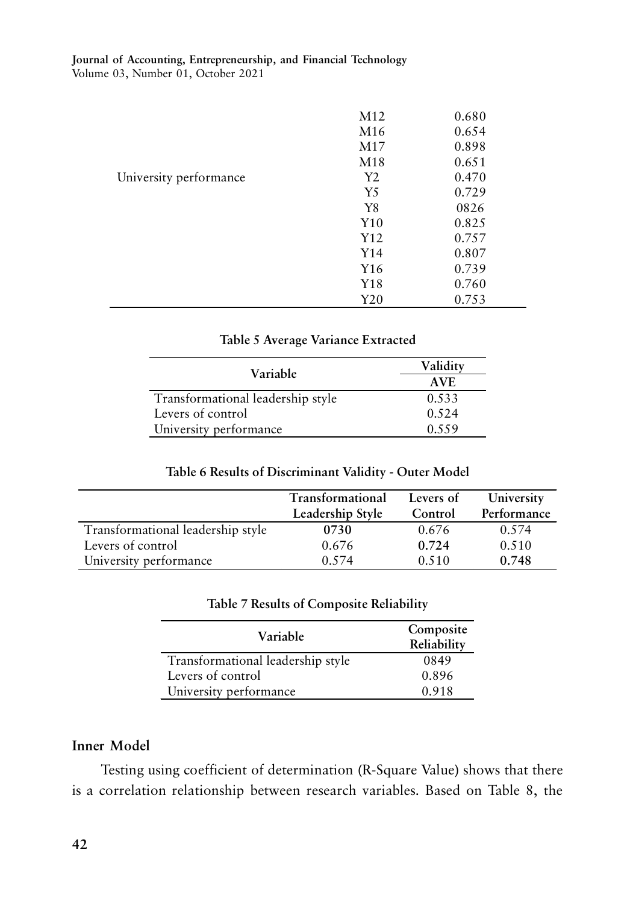|                        | M <sub>12</sub> | 0.680 |
|------------------------|-----------------|-------|
|                        | M <sub>16</sub> | 0.654 |
|                        | M <sub>17</sub> | 0.898 |
|                        | M18             | 0.651 |
| University performance | Y2              | 0.470 |
|                        | Y <sub>5</sub>  | 0.729 |
|                        | Y8              | 0826  |
|                        | Y10             | 0.825 |
|                        | Y12             | 0.757 |
|                        | Y14             | 0.807 |
|                        | Y16             | 0.739 |
|                        | Y18             | 0.760 |
|                        | Y20             | 0.753 |

### **Table 5 Average Variance Extracted**

| Variable                          | Validity |
|-----------------------------------|----------|
|                                   | AVE      |
| Transformational leadership style | 0.533    |
| Levers of control                 | 0.524    |
| University performance            | 0.559    |

### **Table 6 Results of Discriminant Validity - Outer Model**

|                                   | <b>Transformational</b><br>Leadership Style | Levers of<br>Control | University<br>Performance |
|-----------------------------------|---------------------------------------------|----------------------|---------------------------|
| Transformational leadership style | 0730                                        | 0.676                | 0.574                     |
| Levers of control                 | 0.676                                       | 0.724                | 0.510                     |
| University performance            | 0.574                                       | 0.510                | 0.748                     |

### **Table 7 Results of Composite Reliability**

| Variable                          | Composite<br>Reliability |
|-----------------------------------|--------------------------|
| Transformational leadership style | 0849                     |
| Levers of control                 | 0.896                    |
| University performance            | 0.918                    |

### **Inner Model**

Testing using coefficient of determination (R-Square Value) shows that there is a correlation relationship between research variables. Based on Table 8, the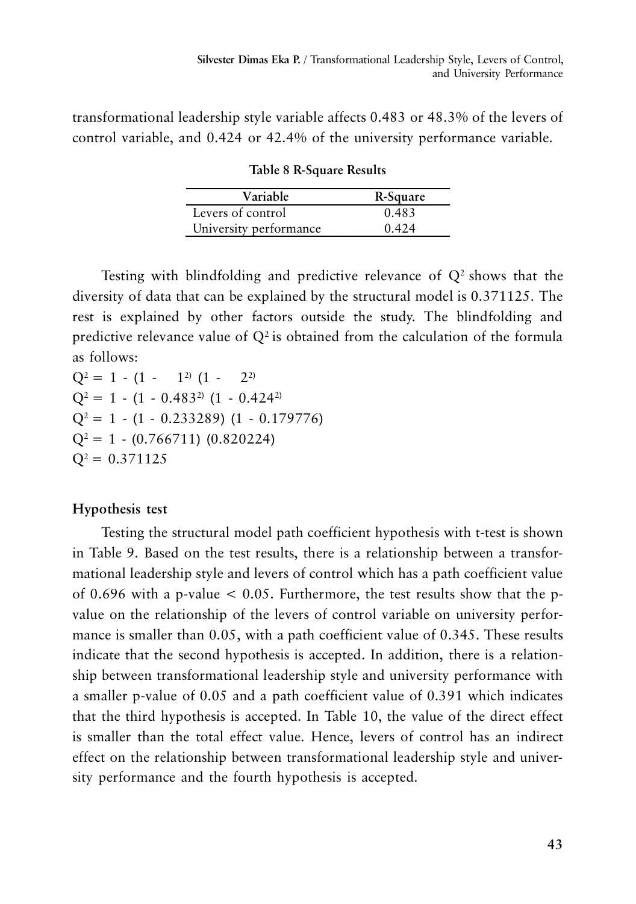transformational leadership style variable affects 0.483 or 48.3% of the levers of control variable, and 0.424 or 42.4% of the university performance variable.

| Variable               | R-Square |
|------------------------|----------|
| Levers of control      | 0.483    |
| University performance | 0.424    |

**Table 8 R-Square Results**

Testing with blindfolding and predictive relevance of  $Q<sup>2</sup>$  shows that the diversity of data that can be explained by the structural model is 0.371125. The rest is explained by other factors outside the study. The blindfolding and predictive relevance value of  $Q^2$  is obtained from the calculation of the formula as follows:

 $Q^2 = 1 - (1 - 1^2) (1 - 2^2)$  $Q^2 = 1 - (1 - 0.483^{2}) (1 - 0.424^{2})$  $Q^2 = 1 - (1 - 0.233289) (1 - 0.179776)$  $Q^2 = 1 - (0.766711) (0.820224)$  $Q^2 = 0.371125$ 

# **Hypothesis test**

Testing the structural model path coefficient hypothesis with t-test is shown in Table 9. Based on the test results, there is a relationship between a transformational leadership style and levers of control which has a path coefficient value of 0.696 with a p-value  $< 0.05$ . Furthermore, the test results show that the pvalue on the relationship of the levers of control variable on university performance is smaller than 0.05, with a path coefficient value of 0.345. These results indicate that the second hypothesis is accepted. In addition, there is a relationship between transformational leadership style and university performance with a smaller p-value of 0.05 and a path coefficient value of 0.391 which indicates that the third hypothesis is accepted. In Table 10, the value of the direct effect is smaller than the total effect value. Hence, levers of control has an indirect effect on the relationship between transformational leadership style and university performance and the fourth hypothesis is accepted.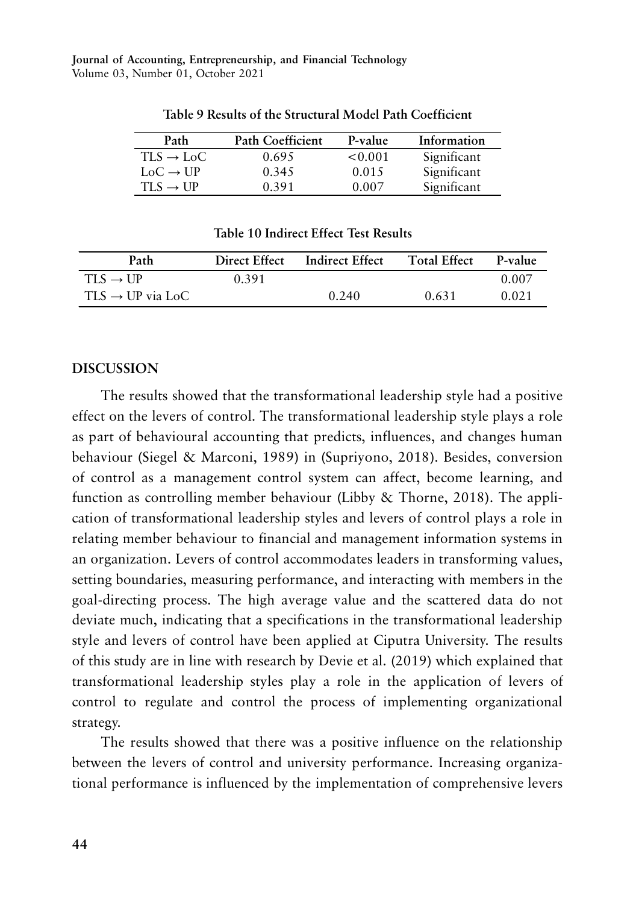| Path                  | <b>Path Coefficient</b> | P-value | Information |
|-----------------------|-------------------------|---------|-------------|
| $TLS \rightarrow LoC$ | 0.695                   | < 0.001 | Significant |
| $LoC \rightarrow UP$  | 0.345                   | 0.015   | Significant |
| $TI.S \rightarrow UP$ | 0.391                   | 0.007   | Significant |

**Table 9 Results of the Structural Model Path Coefficient**

**Table 10 Indirect Effect Test Results**

| Path                         | Direct Effect | Indirect Effect | <b>Total Effect</b> | P-value |
|------------------------------|---------------|-----------------|---------------------|---------|
| $TLS \rightarrow UP$         | 0.391         |                 |                     | 0.007   |
| $TLS \rightarrow UP$ via LoC |               | 0.240           | 0.631               | 0.021   |

### **DISCUSSION**

The results showed that the transformational leadership style had a positive effect on the levers of control. The transformational leadership style plays a role as part of behavioural accounting that predicts, influences, and changes human behaviour (Siegel & Marconi, 1989) in (Supriyono, 2018). Besides, conversion of control as a management control system can affect, become learning, and function as controlling member behaviour (Libby & Thorne, 2018). The application of transformational leadership styles and levers of control plays a role in relating member behaviour to financial and management information systems in an organization. Levers of control accommodates leaders in transforming values, setting boundaries, measuring performance, and interacting with members in the goal-directing process. The high average value and the scattered data do not deviate much, indicating that a specifications in the transformational leadership style and levers of control have been applied at Ciputra University. The results of this study are in line with research by Devie et al. (2019) which explained that transformational leadership styles play a role in the application of levers of control to regulate and control the process of implementing organizational strategy.

The results showed that there was a positive influence on the relationship between the levers of control and university performance. Increasing organizational performance is influenced by the implementation of comprehensive levers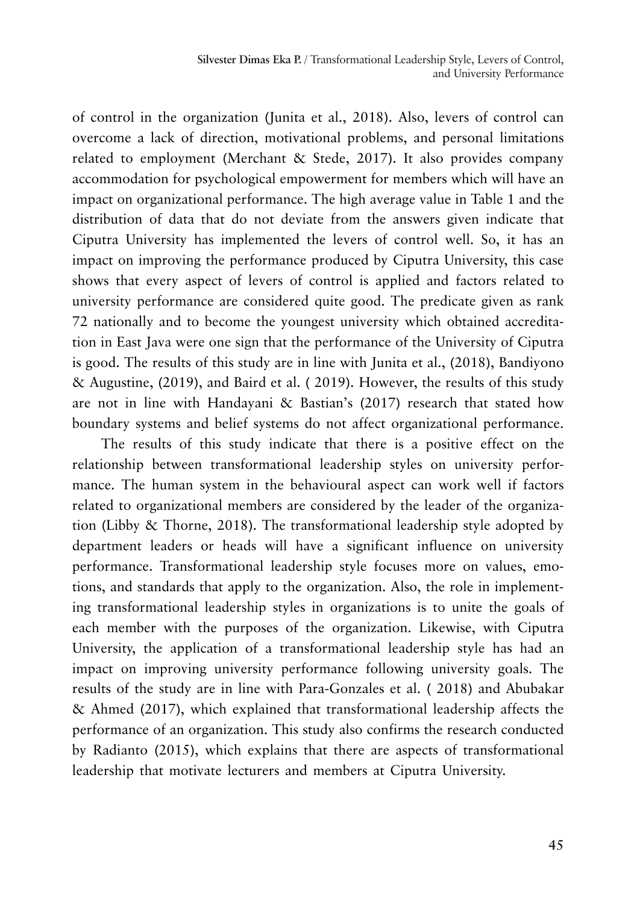of control in the organization (Junita et al., 2018). Also, levers of control can overcome a lack of direction, motivational problems, and personal limitations related to employment (Merchant & Stede, 2017). It also provides company accommodation for psychological empowerment for members which will have an impact on organizational performance. The high average value in Table 1 and the distribution of data that do not deviate from the answers given indicate that Ciputra University has implemented the levers of control well. So, it has an impact on improving the performance produced by Ciputra University, this case shows that every aspect of levers of control is applied and factors related to university performance are considered quite good. The predicate given as rank 72 nationally and to become the youngest university which obtained accreditation in East Java were one sign that the performance of the University of Ciputra is good. The results of this study are in line with Junita et al., (2018), Bandiyono & Augustine, (2019), and Baird et al. ( 2019). However, the results of this study are not in line with Handayani & Bastian's (2017) research that stated how boundary systems and belief systems do not affect organizational performance.

The results of this study indicate that there is a positive effect on the relationship between transformational leadership styles on university performance. The human system in the behavioural aspect can work well if factors related to organizational members are considered by the leader of the organization (Libby & Thorne, 2018). The transformational leadership style adopted by department leaders or heads will have a significant influence on university performance. Transformational leadership style focuses more on values, emotions, and standards that apply to the organization. Also, the role in implementing transformational leadership styles in organizations is to unite the goals of each member with the purposes of the organization. Likewise, with Ciputra University, the application of a transformational leadership style has had an impact on improving university performance following university goals. The results of the study are in line with Para-Gonzales et al. ( 2018) and Abubakar & Ahmed (2017), which explained that transformational leadership affects the performance of an organization. This study also confirms the research conducted by Radianto (2015), which explains that there are aspects of transformational leadership that motivate lecturers and members at Ciputra University.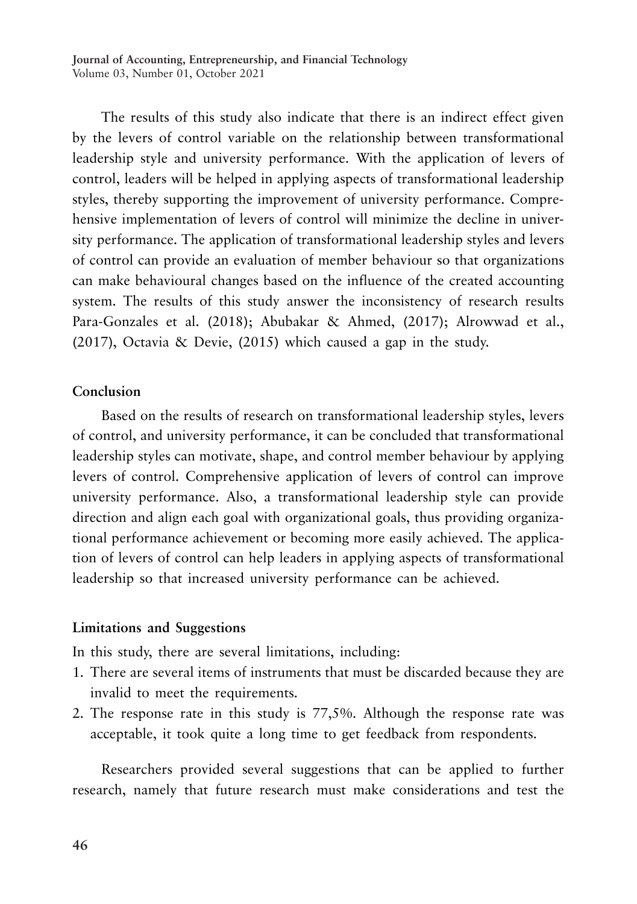The results of this study also indicate that there is an indirect effect given by the levers of control variable on the relationship between transformational leadership style and university performance. With the application of levers of control, leaders will be helped in applying aspects of transformational leadership styles, thereby supporting the improvement of university performance. Comprehensive implementation of levers of control will minimize the decline in university performance. The application of transformational leadership styles and levers of control can provide an evaluation of member behaviour so that organizations can make behavioural changes based on the influence of the created accounting system. The results of this study answer the inconsistency of research results Para-Gonzales et al. (2018); Abubakar & Ahmed, (2017); Alrowwad et al., (2017), Octavia & Devie, (2015) which caused a gap in the study.

### **Conclusion**

Based on the results of research on transformational leadership styles, levers of control, and university performance, it can be concluded that transformational leadership styles can motivate, shape, and control member behaviour by applying levers of control. Comprehensive application of levers of control can improve university performance. Also, a transformational leadership style can provide direction and align each goal with organizational goals, thus providing organizational performance achievement or becoming more easily achieved. The application of levers of control can help leaders in applying aspects of transformational leadership so that increased university performance can be achieved.

### **Limitations and Suggestions**

In this study, there are several limitations, including:

- 1. There are several items of instruments that must be discarded because they are invalid to meet the requirements.
- 2. The response rate in this study is 77,5%. Although the response rate was acceptable, it took quite a long time to get feedback from respondents.

Researchers provided several suggestions that can be applied to further research, namely that future research must make considerations and test the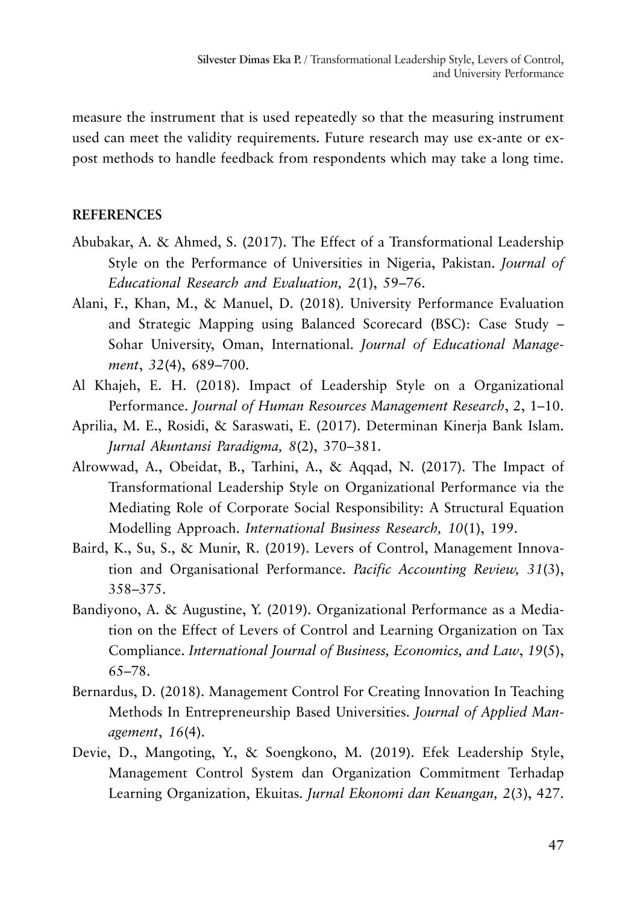measure the instrument that is used repeatedly so that the measuring instrument used can meet the validity requirements. Future research may use ex-ante or expost methods to handle feedback from respondents which may take a long time.

### **REFERENCES**

- Abubakar, A. & Ahmed, S. (2017). The Effect of a Transformational Leadership Style on the Performance of Universities in Nigeria, Pakistan. *Journal of Educational Research and Evaluation, 2*(1), 59–76.
- Alani, F., Khan, M., & Manuel, D. (2018). University Performance Evaluation and Strategic Mapping using Balanced Scorecard (BSC): Case Study – Sohar University, Oman, International. *Journal of Educational Management*, *32*(4), 689–700.
- Al Khajeh, E. H. (2018). Impact of Leadership Style on a Organizational Performance. *Journal of Human Resources Management Research*, *2*, 1–10.
- Aprilia, M. E., Rosidi, & Saraswati, E. (2017). Determinan Kinerja Bank Islam. *Jurnal Akuntansi Paradigma, 8*(2), 370–381.
- Alrowwad, A., Obeidat, B., Tarhini, A., & Aqqad, N. (2017). The Impact of Transformational Leadership Style on Organizational Performance via the Mediating Role of Corporate Social Responsibility: A Structural Equation Modelling Approach. *International Business Research, 10*(1), 199.
- Baird, K., Su, S., & Munir, R. (2019). Levers of Control, Management Innovation and Organisational Performance. *Pacific Accounting Review, 31*(3), 358–375.
- Bandiyono, A. & Augustine, Y. (2019). Organizational Performance as a Mediation on the Effect of Levers of Control and Learning Organization on Tax Compliance. *International Journal of Business, Economics, and Law*, *19*(5), 65–78.
- Bernardus, D. (2018). Management Control For Creating Innovation In Teaching Methods In Entrepreneurship Based Universities. *Journal of Applied Management*, *16*(4).
- Devie, D., Mangoting, Y., & Soengkono, M. (2019). Efek Leadership Style, Management Control System dan Organization Commitment Terhadap Learning Organization, Ekuitas. *Jurnal Ekonomi dan Keuangan, 2*(3), 427.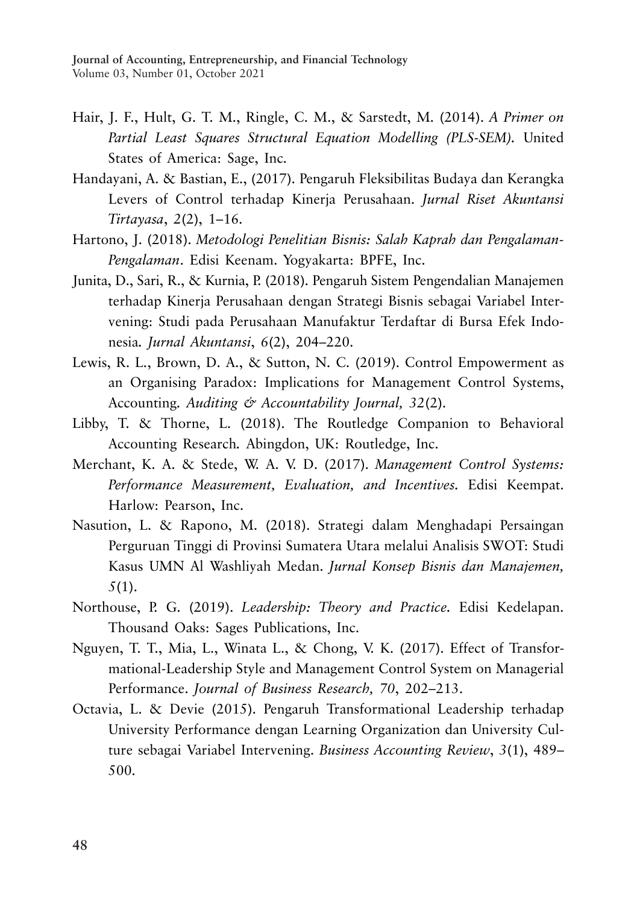- Hair, J. F., Hult, G. T. M., Ringle, C. M., & Sarstedt, M. (2014). *A Primer on Partial Least Squares Structural Equation Modelling (PLS-SEM).* United States of America: Sage, Inc.
- Handayani, A. & Bastian, E., (2017). Pengaruh Fleksibilitas Budaya dan Kerangka Levers of Control terhadap Kinerja Perusahaan. *Jurnal Riset Akuntansi Tirtayasa*, *2*(2), 1–16.
- Hartono, J. (2018). *Metodologi Penelitian Bisnis: Salah Kaprah dan Pengalaman-Pengalaman*. Edisi Keenam. Yogyakarta: BPFE, Inc.
- Junita, D., Sari, R., & Kurnia, P. (2018). Pengaruh Sistem Pengendalian Manajemen terhadap Kinerja Perusahaan dengan Strategi Bisnis sebagai Variabel Intervening: Studi pada Perusahaan Manufaktur Terdaftar di Bursa Efek Indonesia*. Jurnal Akuntansi*, *6*(2), 204–220.
- Lewis, R. L., Brown, D. A., & Sutton, N. C. (2019). Control Empowerment as an Organising Paradox: Implications for Management Control Systems, Accounting*. Auditing & Accountability Journal, 32*(2).
- Libby, T. & Thorne, L. (2018). The Routledge Companion to Behavioral Accounting Research*.* Abingdon, UK: Routledge, Inc.
- Merchant, K. A. & Stede, W. A. V. D. (2017). *Management Control Systems: Performance Measurement, Evaluation, and Incentives.* Edisi Keempat. Harlow: Pearson, Inc.
- Nasution, L. & Rapono, M. (2018). Strategi dalam Menghadapi Persaingan Perguruan Tinggi di Provinsi Sumatera Utara melalui Analisis SWOT: Studi Kasus UMN Al Washliyah Medan. *Jurnal Konsep Bisnis dan Manajemen, 5*(1).
- Northouse, P. G. (2019). *Leadership: Theory and Practice.* Edisi Kedelapan. Thousand Oaks: Sages Publications, Inc.
- Nguyen, T. T., Mia, L., Winata L., & Chong, V. K. (2017). Effect of Transformational-Leadership Style and Management Control System on Managerial Performance. *Journal of Business Research, 70*, 202–213.
- Octavia, L. & Devie (2015). Pengaruh Transformational Leadership terhadap University Performance dengan Learning Organization dan University Culture sebagai Variabel Intervening. *Business Accounting Review*, *3*(1), 489– 500.